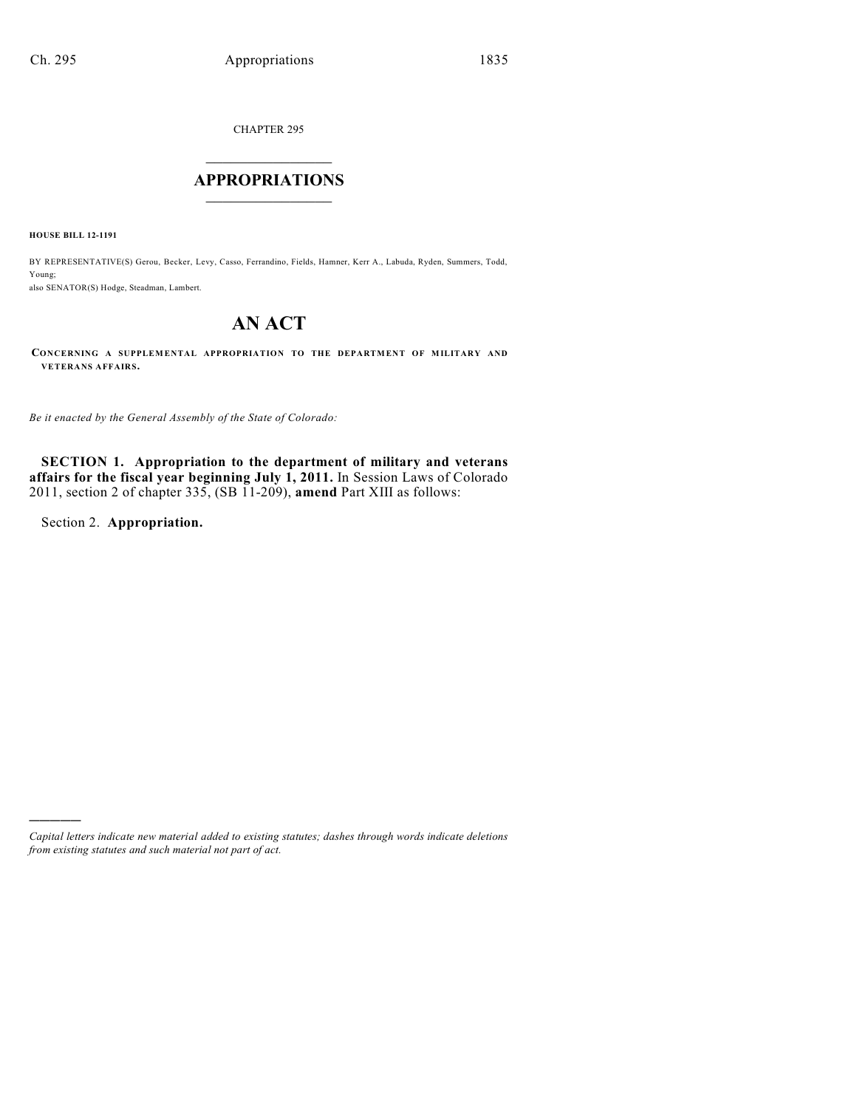CHAPTER 295

## $\mathcal{L}_\text{max}$  . The set of the set of the set of the set of the set of the set of the set of the set of the set of the set of the set of the set of the set of the set of the set of the set of the set of the set of the set **APPROPRIATIONS**  $\_$   $\_$   $\_$   $\_$   $\_$   $\_$   $\_$   $\_$

**HOUSE BILL 12-1191**

BY REPRESENTATIVE(S) Gerou, Becker, Levy, Casso, Ferrandino, Fields, Hamner, Kerr A., Labuda, Ryden, Summers, Todd, Young; also SENATOR(S) Hodge, Steadman, Lambert.

# **AN ACT**

**CONCERNING A SUPPLEMENTAL APPROPRIATION TO THE DEPARTMENT OF MILITARY AND VETERANS AFFAIRS.**

*Be it enacted by the General Assembly of the State of Colorado:*

**SECTION 1. Appropriation to the department of military and veterans affairs for the fiscal year beginning July 1, 2011.** In Session Laws of Colorado 2011, section 2 of chapter 335, (SB 11-209), **amend** Part XIII as follows:

Section 2. **Appropriation.**

)))))

*Capital letters indicate new material added to existing statutes; dashes through words indicate deletions from existing statutes and such material not part of act.*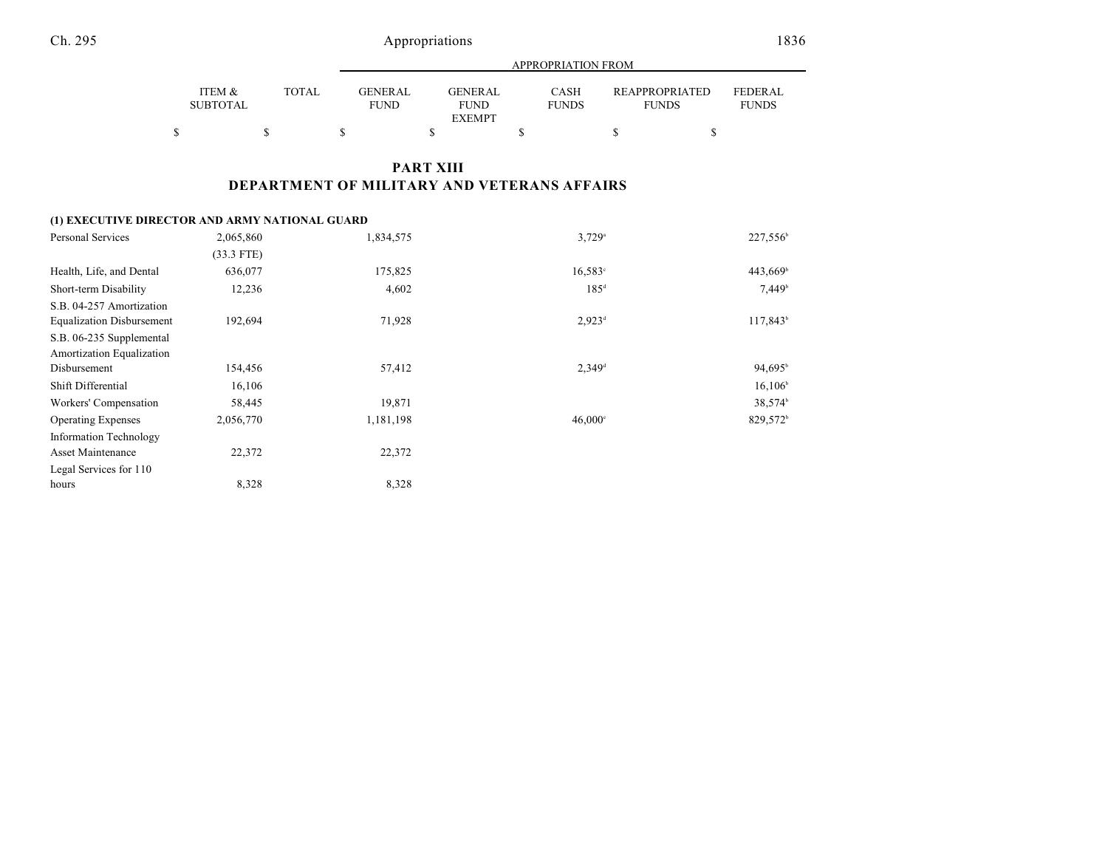### Ch. 295 Appropriations 1836

|                           |              |                                | APPROPRIATION FROM                       |                      |                                       |                                |  |  |  |  |
|---------------------------|--------------|--------------------------------|------------------------------------------|----------------------|---------------------------------------|--------------------------------|--|--|--|--|
| ITEM &<br><b>SUBTOTAL</b> | <b>TOTAL</b> | <b>GENER AL</b><br><b>FUND</b> | GENER AL<br><b>FUND</b><br><b>EXEMPT</b> | CASH<br><b>FUNDS</b> | <b>REAPPROPRIATED</b><br><b>FUNDS</b> | <b>FEDERAL</b><br><b>FUNDS</b> |  |  |  |  |
|                           |              |                                |                                          |                      |                                       |                                |  |  |  |  |

### **PART XIII DEPARTMENT OF MILITARY AND VETERANS AFFAIRS**

#### **(1) EXECUTIVE DIRECTOR AND ARMY NATIONAL GUARD**

| Personal Services                | 2,065,860    | 1,834,575 | $3,729$ <sup>a</sup> | 227,556 <sup>b</sup>   |
|----------------------------------|--------------|-----------|----------------------|------------------------|
|                                  | $(33.3$ FTE) |           |                      |                        |
| Health, Life, and Dental         | 636,077      | 175,825   | $16,583^{\circ}$     | $443,669$ <sup>b</sup> |
| Short-term Disability            | 12,236       | 4,602     | $185^{\text{d}}$     | 7,449 <sup>b</sup>     |
| S.B. 04-257 Amortization         |              |           |                      |                        |
| <b>Equalization Disbursement</b> | 192,694      | 71,928    | $2,923^{\rm d}$      | $117,843^{\circ}$      |
| S.B. 06-235 Supplemental         |              |           |                      |                        |
| Amortization Equalization        |              |           |                      |                        |
| Disbursement                     | 154,456      | 57,412    | $2,349$ <sup>d</sup> | 94,695 <sup>b</sup>    |
| Shift Differential               | 16,106       |           |                      | $16,106^{\circ}$       |
| Workers' Compensation            | 58,445       | 19,871    |                      | $38,574^b$             |
| <b>Operating Expenses</b>        | 2,056,770    | 1,181,198 | $46,000^{\circ}$     | 829,572 <sup>b</sup>   |
| Information Technology           |              |           |                      |                        |
| Asset Maintenance                | 22,372       | 22,372    |                      |                        |
| Legal Services for 110           |              |           |                      |                        |
| hours                            | 8,328        | 8.328     |                      |                        |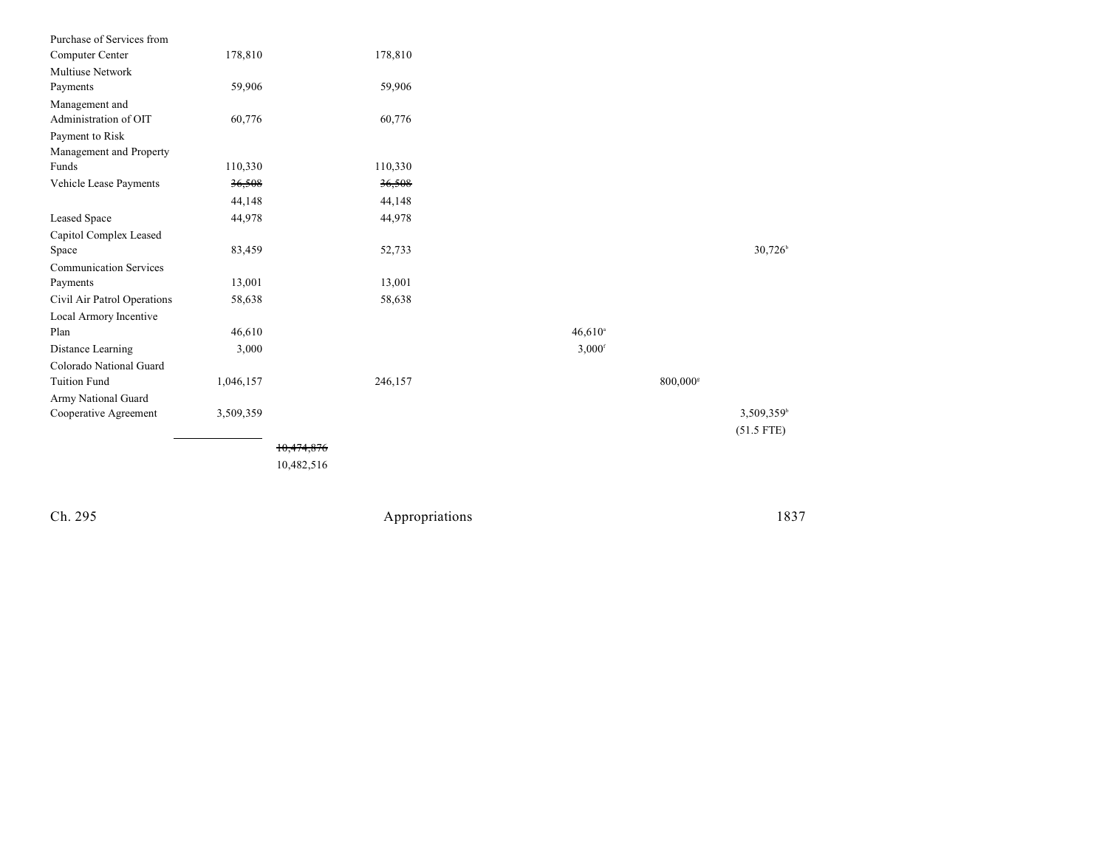| Purchase of Services from     |           |            |                      |                      |                       |
|-------------------------------|-----------|------------|----------------------|----------------------|-----------------------|
| Computer Center               | 178,810   | 178,810    |                      |                      |                       |
| <b>Multiuse Network</b>       |           |            |                      |                      |                       |
| Payments                      | 59,906    | 59,906     |                      |                      |                       |
| Management and                |           |            |                      |                      |                       |
| Administration of OIT         | 60,776    | 60,776     |                      |                      |                       |
| Payment to Risk               |           |            |                      |                      |                       |
| Management and Property       |           |            |                      |                      |                       |
| Funds                         | 110,330   | 110,330    |                      |                      |                       |
| Vehicle Lease Payments        | 36,508    | 36,508     |                      |                      |                       |
|                               | 44,148    | 44,148     |                      |                      |                       |
| Leased Space                  | 44,978    | 44,978     |                      |                      |                       |
| Capitol Complex Leased        |           |            |                      |                      |                       |
| Space                         | 83,459    | 52,733     |                      |                      | $30,726$ <sup>b</sup> |
| <b>Communication Services</b> |           |            |                      |                      |                       |
| Payments                      | 13,001    | 13,001     |                      |                      |                       |
| Civil Air Patrol Operations   | 58,638    | 58,638     |                      |                      |                       |
| Local Armory Incentive        |           |            |                      |                      |                       |
| Plan                          | 46,610    |            | $46,610^{\circ}$     |                      |                       |
| Distance Learning             | 3,000     |            | $3,000$ <sup>f</sup> |                      |                       |
| Colorado National Guard       |           |            |                      |                      |                       |
| <b>Tuition Fund</b>           | 1,046,157 | 246,157    |                      | 800,000 <sup>s</sup> |                       |
| Army National Guard           |           |            |                      |                      |                       |
| Cooperative Agreement         | 3,509,359 |            |                      |                      | 3,509,359             |
|                               |           |            |                      |                      | $(51.5$ FTE)          |
|                               |           | 10,474,876 |                      |                      |                       |
|                               |           | 10,482,516 |                      |                      |                       |
|                               |           |            |                      |                      |                       |

Ch. 295

Appropriations

1 8 3 7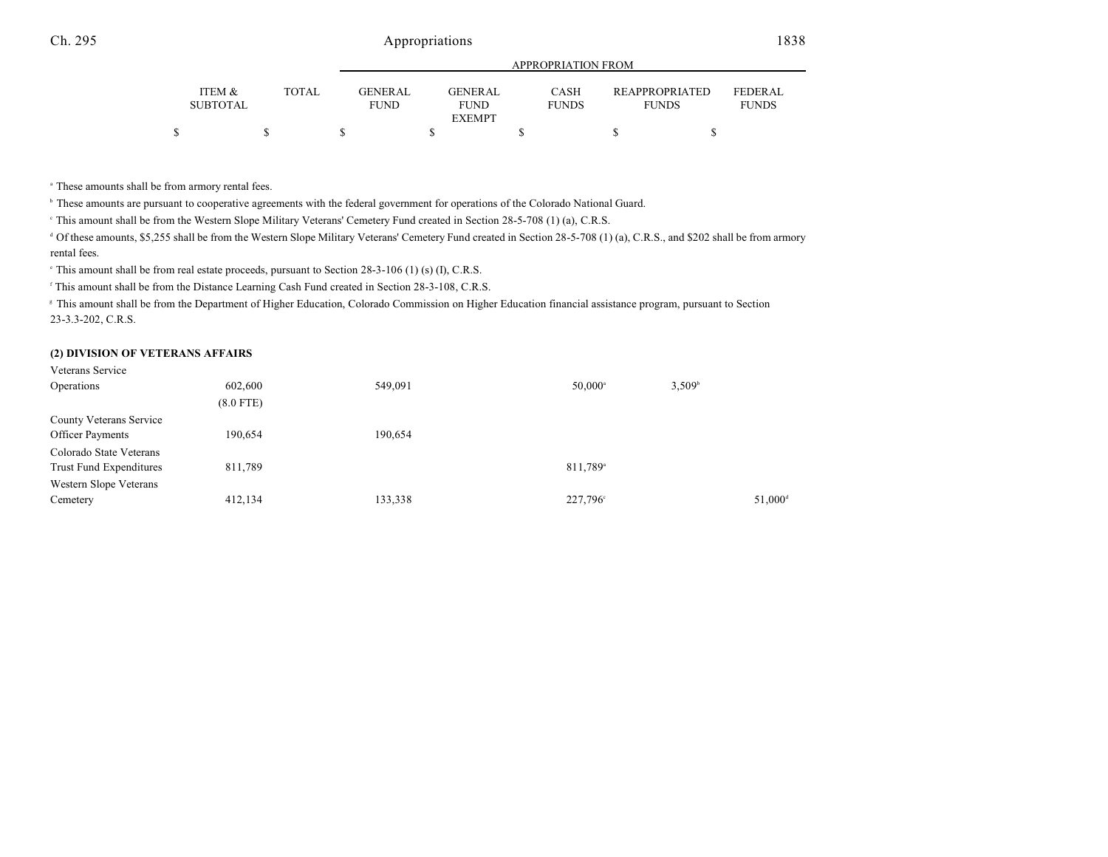### Ch. 295 Appropriations 1838

|                           |              | APPROPRIATION FROM     |  |                                         |  |                             |  |                                |                                |
|---------------------------|--------------|------------------------|--|-----------------------------------------|--|-----------------------------|--|--------------------------------|--------------------------------|
| ITEM &<br><b>SUBTOTAL</b> | <b>TOTAL</b> | GENERAL<br><b>FUND</b> |  | GENERAL<br><b>FUND</b><br><b>EXEMPT</b> |  | <b>CASH</b><br><b>FUNDS</b> |  | REAPPROPRIATED<br><b>FUNDS</b> | <b>FEDERAL</b><br><b>FUNDS</b> |
|                           |              |                        |  |                                         |  |                             |  |                                |                                |

<sup>a</sup> These amounts shall be from armory rental fees.

<sup>b</sup> These amounts are pursuant to cooperative agreements with the federal government for operations of the Colorado National Guard.

This amount shall be from the Western Slope Military Veterans' Cemetery Fund created in Section 28-5-708 (1) (a), C.R.S. <sup>c</sup>

<sup>d</sup> Of these amounts, \$5,255 shall be from the Western Slope Military Veterans' Cemetery Fund created in Section 28-5-708 (1) (a), C.R.S., and \$202 shall be from armory rental fees.

 $\degree$  This amount shall be from real estate proceeds, pursuant to Section 28-3-106 (1) (s) (I), C.R.S.

<sup>f</sup> This amount shall be from the Distance Learning Cash Fund created in Section 28-3-108, C.R.S.

<sup>8</sup> This amount shall be from the Department of Higher Education, Colorado Commission on Higher Education financial assistance program, pursuant to Section 23-3.3-202, C.R.S.

#### **(2) DIVISION OF VETERANS AFFAIRS**

| Veterans Service               |             |         |                      |                     |
|--------------------------------|-------------|---------|----------------------|---------------------|
| Operations                     | 602,600     | 549,091 | $50,000^{\circ}$     | 3,509 <sup>b</sup>  |
|                                | $(8.0$ FTE) |         |                      |                     |
| County Veterans Service        |             |         |                      |                     |
| <b>Officer Payments</b>        | 190,654     | 190,654 |                      |                     |
| Colorado State Veterans        |             |         |                      |                     |
| <b>Trust Fund Expenditures</b> | 811,789     |         | 811,789 <sup>a</sup> |                     |
| Western Slope Veterans         |             |         |                      |                     |
| Cemetery                       | 412,134     | 133,338 | 227,796°             | 51,000 <sup>c</sup> |
|                                |             |         |                      |                     |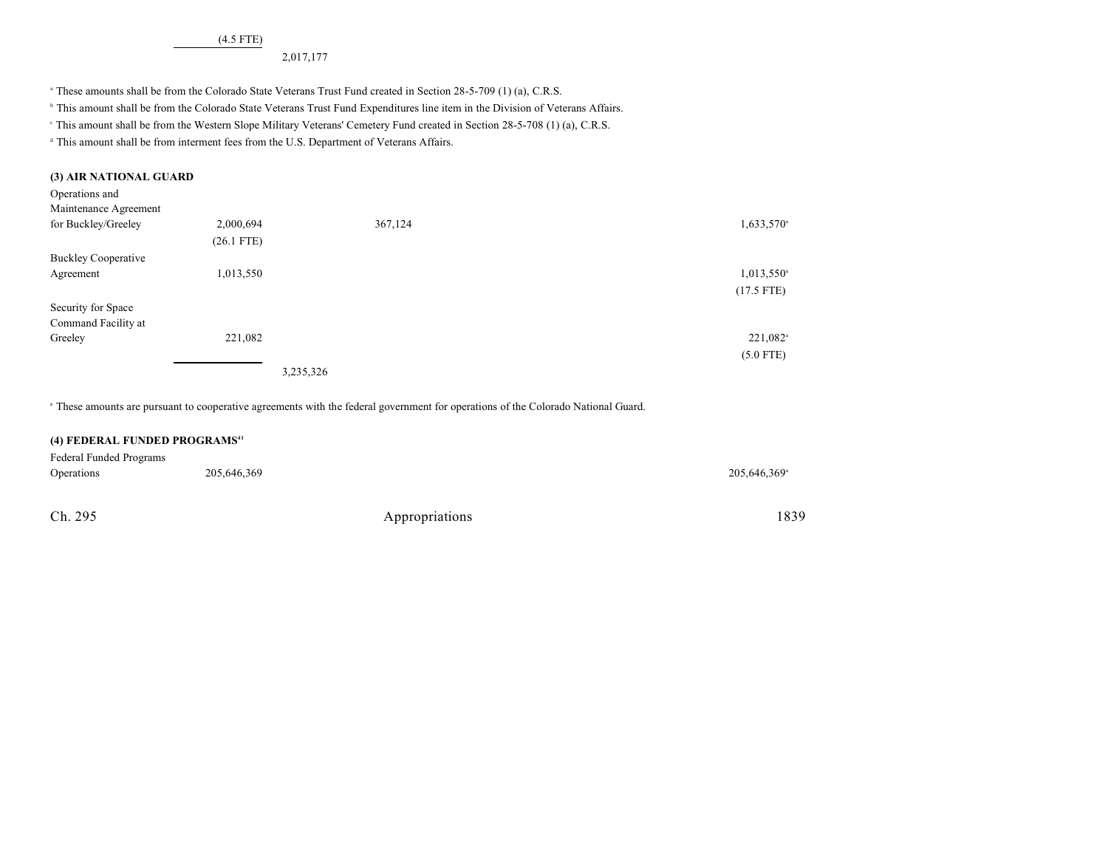(4.5 FTE)

2,017,177

<sup>a</sup> These amounts shall be from the Colorado State Veterans Trust Fund created in Section 28-5-709 (1) (a), C.R.S.

<sup>b</sup> This amount shall be from the Colorado State Veterans Trust Fund Expenditures line item in the Division of Veterans Affairs.

This amount shall be from the Western Slope Military Veterans' Cemetery Fund created in Section 28-5-708 (1) (a), C.R.S. <sup>c</sup>

<sup>d</sup> This amount shall be from interment fees from the U.S. Department of Veterans Affairs.

| (3) AIR NATIONAL GUARD     |              |           |                          |
|----------------------------|--------------|-----------|--------------------------|
| Operations and             |              |           |                          |
| Maintenance Agreement      |              |           |                          |
| for Buckley/Greeley        | 2,000,694    | 367,124   | $1,633,570$ <sup>a</sup> |
|                            | $(26.1$ FTE) |           |                          |
| <b>Buckley Cooperative</b> |              |           |                          |
| Agreement                  | 1,013,550    |           | $1,013,550$ <sup>a</sup> |
|                            |              |           | $(17.5$ FTE)             |
| Security for Space         |              |           |                          |
| Command Facility at        |              |           |                          |
| Greeley                    | 221,082      |           | 221,082 <sup>a</sup>     |
|                            |              |           | $(5.0$ FTE)              |
|                            |              | 3,235,326 |                          |

These amounts are pursuant to cooperative agreements with the federal government for operations of the Colorado National Guard. <sup>a</sup>

| (4) FEDERAL FUNDED PROGRAMS <sup>41</sup> |             |                |                          |  |  |  |  |  |
|-------------------------------------------|-------------|----------------|--------------------------|--|--|--|--|--|
| Federal Funded Programs                   |             |                |                          |  |  |  |  |  |
| Operations                                | 205,646,369 |                | 205,646,369 <sup>a</sup> |  |  |  |  |  |
| Ch. 295                                   |             | Appropriations | 1839                     |  |  |  |  |  |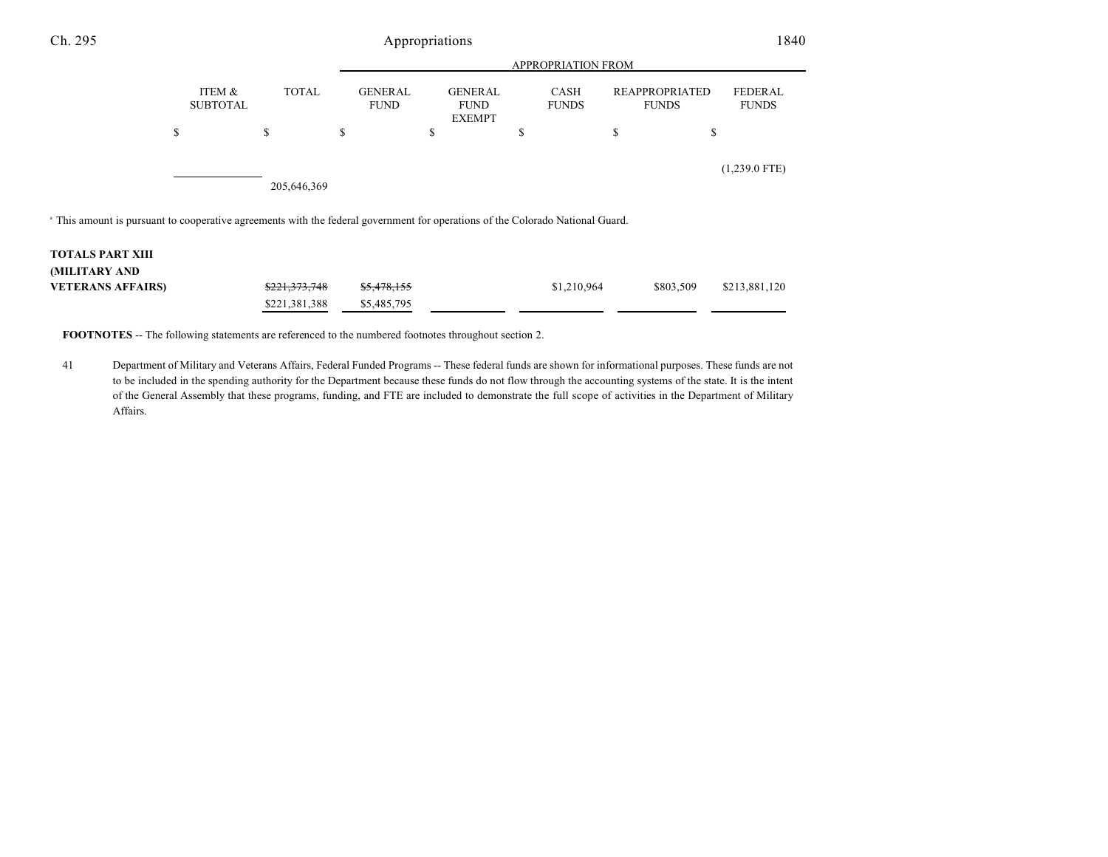| Ch. 295                                                                                                                                   | Appropriations            |               |                               |                                                |                      |                                       |                                |  |
|-------------------------------------------------------------------------------------------------------------------------------------------|---------------------------|---------------|-------------------------------|------------------------------------------------|----------------------|---------------------------------------|--------------------------------|--|
|                                                                                                                                           |                           |               |                               |                                                | APPROPRIATION FROM   |                                       |                                |  |
|                                                                                                                                           | ITEM &<br><b>SUBTOTAL</b> | <b>TOTAL</b>  | <b>GENERAL</b><br><b>FUND</b> | <b>GENERAL</b><br><b>FUND</b><br><b>EXEMPT</b> | CASH<br><b>FUNDS</b> | <b>REAPPROPRIATED</b><br><b>FUNDS</b> | <b>FEDERAL</b><br><b>FUNDS</b> |  |
|                                                                                                                                           | \$                        | \$            | \$                            | \$                                             | J.                   | \$<br>\$                              |                                |  |
|                                                                                                                                           |                           | 205,646,369   |                               |                                                |                      |                                       | $(1,239.0$ FTE)                |  |
| <sup>a</sup> This amount is pursuant to cooperative agreements with the federal government for operations of the Colorado National Guard. |                           |               |                               |                                                |                      |                                       |                                |  |
| <b>TOTALS PART XIII</b>                                                                                                                   |                           |               |                               |                                                |                      |                                       |                                |  |
| (MILITARY AND                                                                                                                             |                           |               |                               |                                                |                      |                                       |                                |  |
| <b>VETERANS AFFAIRS)</b>                                                                                                                  |                           | \$221,373,748 | \$5,478,155                   |                                                | \$1,210,964          | \$803,509                             | \$213,881,120                  |  |

**FOOTNOTES** -- The following statements are referenced to the numbered footnotes throughout section 2.

\$221,381,388 \$5,485,795

41 Department of Military and Veterans Affairs, Federal Funded Programs -- These federal funds are shown for informational purposes. These funds are not to be included in the spending authority for the Department because these funds do not flow through the accounting systems of the state. It is the intent of the General Assembly that these programs, funding, and FTE are included to demonstrate the full scope of activities in the Department of Military Affairs.